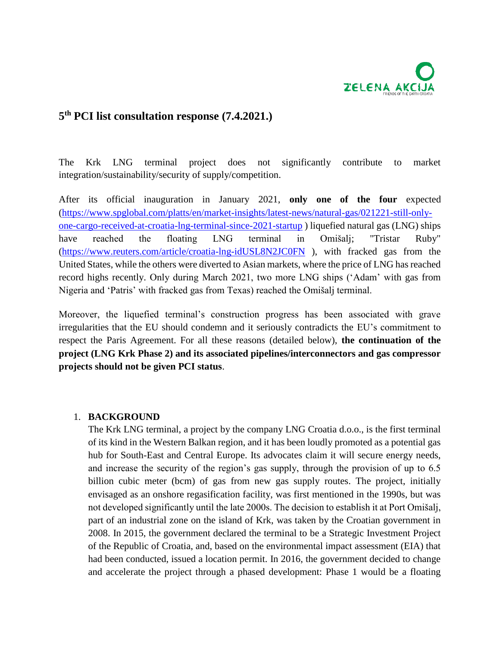

# **5 th PCI list consultation response (7.4.2021.)**

The Krk LNG terminal project does not significantly contribute to market integration/sustainability/security of supply/competition.

After its official inauguration in January 2021, **only one of the four** expected [\(https://www.spglobal.com/platts/en/market-insights/latest-news/natural-gas/021221-still-only](https://www.spglobal.com/platts/en/market-insights/latest-news/natural-gas/021221-still-only-one-cargo-received-at-croatia-lng-terminal-since-2021-startup)[one-cargo-received-at-croatia-lng-terminal-since-2021-startup](https://www.spglobal.com/platts/en/market-insights/latest-news/natural-gas/021221-still-only-one-cargo-received-at-croatia-lng-terminal-since-2021-startup) ) liquefied natural gas (LNG) ships have reached the floating LNG terminal in Omišalj; "Tristar Ruby" [\(https://www.reuters.com/article/croatia-lng-idUSL8N2JC0FN](https://www.reuters.com/article/croatia-lng-idUSL8N2JC0FN) ), with fracked gas from the United States, while the others were diverted to Asian markets, where the price of LNG has reached record highs recently. Only during March 2021, two more LNG ships ('Adam' with gas from Nigeria and 'Patris' with fracked gas from Texas) reached the Omišalj terminal.

Moreover, the liquefied terminal's construction progress has been associated with grave irregularities that the EU should condemn and it seriously contradicts the EU's commitment to respect the Paris Agreement. For all these reasons (detailed below), **the continuation of the project (LNG Krk Phase 2) and its associated pipelines/interconnectors and gas compressor projects should not be given PCI status**.

## 1. **BACKGROUND**

The Krk LNG terminal, a project by the company LNG Croatia d.o.o., is the first terminal of its kind in the Western Balkan region, and it has been loudly promoted as a potential gas hub for South-East and Central Europe. Its advocates claim it will secure energy needs, and increase the security of the region's gas supply, through the provision of up to 6.5 billion cubic meter (bcm) of gas from new gas supply routes. The project, initially envisaged as an onshore regasification facility, was first mentioned in the 1990s, but was not developed significantly until the late 2000s. The decision to establish it at Port Omišalj, part of an industrial zone on the island of Krk, was taken by the Croatian government in 2008. In 2015, the government declared the terminal to be a Strategic Investment Project of the Republic of Croatia, and, based on the environmental impact assessment (EIA) that had been conducted, issued a location permit. In 2016, the government decided to change and accelerate the project through a phased development: Phase 1 would be a floating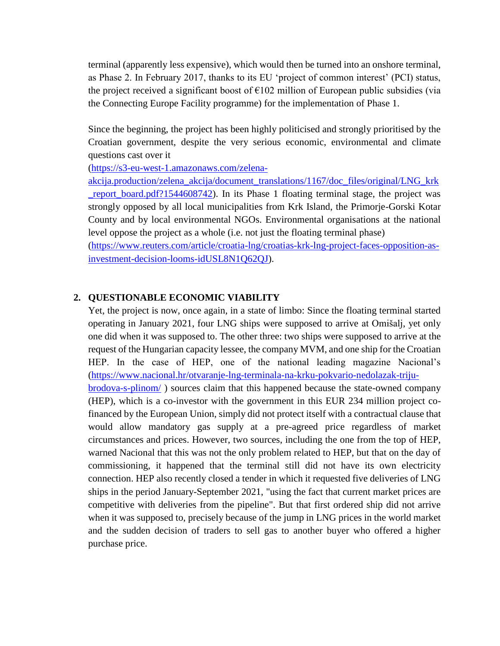terminal (apparently less expensive), which would then be turned into an onshore terminal, as Phase 2. In February 2017, thanks to its EU 'project of common interest' (PCI) status, the project received a significant boost of  $\epsilon$ 102 million of European public subsidies (via the Connecting Europe Facility programme) for the implementation of Phase 1.

Since the beginning, the project has been highly politicised and strongly prioritised by the Croatian government, despite the very serious economic, environmental and climate questions cast over it

[\(https://s3-eu-west-1.amazonaws.com/zelena-](https://s3-eu-west-1.amazonaws.com/zelena-akcija.production/zelena_akcija/document_translations/1167/doc_files/original/LNG_krk_report_board.pdf?1544608742)

[akcija.production/zelena\\_akcija/document\\_translations/1167/doc\\_files/original/LNG\\_krk](https://s3-eu-west-1.amazonaws.com/zelena-akcija.production/zelena_akcija/document_translations/1167/doc_files/original/LNG_krk_report_board.pdf?1544608742) [\\_report\\_board.pdf?1544608742\)](https://s3-eu-west-1.amazonaws.com/zelena-akcija.production/zelena_akcija/document_translations/1167/doc_files/original/LNG_krk_report_board.pdf?1544608742). In its Phase 1 floating terminal stage, the project was strongly opposed by all local municipalities from Krk Island, the Primorje-Gorski Kotar County and by local environmental NGOs. Environmental organisations at the national level oppose the project as a whole (i.e. not just the floating terminal phase)

[\(https://www.reuters.com/article/croatia-lng/croatias-krk-lng-project-faces-opposition-as](https://www.reuters.com/article/croatia-lng/croatias-krk-lng-project-faces-opposition-as-investment-decision-looms-idUSL8N1Q62QJ)[investment-decision-looms-idUSL8N1Q62QJ\)](https://www.reuters.com/article/croatia-lng/croatias-krk-lng-project-faces-opposition-as-investment-decision-looms-idUSL8N1Q62QJ).

## **2. QUESTIONABLE ECONOMIC VIABILITY**

Yet, the project is now, once again, in a state of limbo: Since the floating terminal started operating in January 2021, four LNG ships were supposed to arrive at Omišalj, yet only one did when it was supposed to. The other three: two ships were supposed to arrive at the request of the Hungarian capacity lessee, the company MVM, and one ship for the Croatian HEP. In the case of HEP, one of the national leading magazine Nacional's [\(https://www.nacional.hr/otvaranje-lng-terminala-na-krku-pokvario-nedolazak-triju](https://www.nacional.hr/otvaranje-lng-terminala-na-krku-pokvario-nedolazak-triju-brodova-s-plinom/)[brodova-s-plinom/](https://www.nacional.hr/otvaranje-lng-terminala-na-krku-pokvario-nedolazak-triju-brodova-s-plinom/) ) sources claim that this happened because the state-owned company (HEP), which is a co-investor with the government in this EUR 234 million project cofinanced by the European Union, simply did not protect itself with a contractual clause that would allow mandatory gas supply at a pre-agreed price regardless of market circumstances and prices. However, two sources, including the one from the top of HEP, warned Nacional that this was not the only problem related to HEP, but that on the day of commissioning, it happened that the terminal still did not have its own electricity connection. HEP also recently closed a tender in which it requested five deliveries of LNG ships in the period January-September 2021, "using the fact that current market prices are competitive with deliveries from the pipeline". But that first ordered ship did not arrive when it was supposed to, precisely because of the jump in LNG prices in the world market and the sudden decision of traders to sell gas to another buyer who offered a higher purchase price.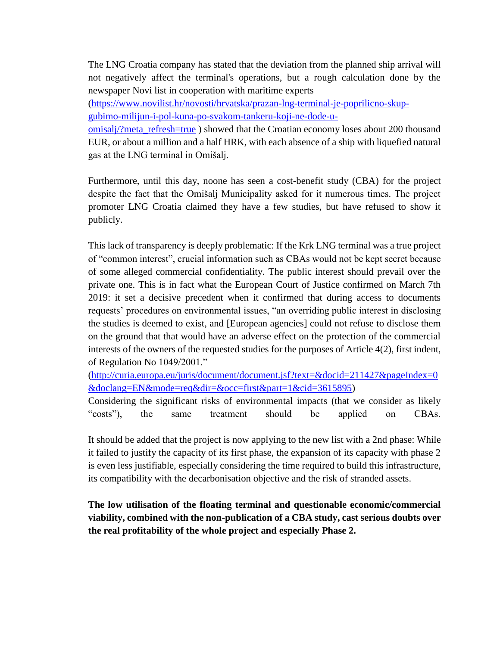The LNG Croatia company has stated that the deviation from the planned ship arrival will not negatively affect the terminal's operations, but a rough calculation done by the newspaper Novi list in cooperation with maritime experts

[\(https://www.novilist.hr/novosti/hrvatska/prazan-lng-terminal-je-poprilicno-skup](https://www.novilist.hr/novosti/hrvatska/prazan-lng-terminal-je-poprilicno-skup-gubimo-milijun-i-pol-kuna-po-svakom-tankeru-koji-ne-dode-u-omisalj/?meta_refresh=true)[gubimo-milijun-i-pol-kuna-po-svakom-tankeru-koji-ne-dode-u-](https://www.novilist.hr/novosti/hrvatska/prazan-lng-terminal-je-poprilicno-skup-gubimo-milijun-i-pol-kuna-po-svakom-tankeru-koji-ne-dode-u-omisalj/?meta_refresh=true)

[omisalj/?meta\\_refresh=true](https://www.novilist.hr/novosti/hrvatska/prazan-lng-terminal-je-poprilicno-skup-gubimo-milijun-i-pol-kuna-po-svakom-tankeru-koji-ne-dode-u-omisalj/?meta_refresh=true) ) showed that the Croatian economy loses about 200 thousand EUR, or about a million and a half HRK, with each absence of a ship with liquefied natural gas at the LNG terminal in Omišalj.

Furthermore, until this day, noone has seen a cost-benefit study (CBA) for the project despite the fact that the Omišalj Municipality asked for it numerous times. The project promoter LNG Croatia claimed they have a few studies, but have refused to show it publicly.

This lack of transparency is deeply problematic: If the Krk LNG terminal was a true project of "common interest", crucial information such as CBAs would not be kept secret because of some alleged commercial confidentiality. The public interest should prevail over the private one. This is in fact what the European Court of Justice confirmed on March 7th 2019: it set a decisive precedent when it confirmed that during access to documents requests' procedures on environmental issues, "an overriding public interest in disclosing the studies is deemed to exist, and [European agencies] could not refuse to disclose them on the ground that that would have an adverse effect on the protection of the commercial interests of the owners of the requested studies for the purposes of Article 4(2), first indent, of Regulation No 1049/2001."

[\(http://curia.europa.eu/juris/document/document.jsf?text=&docid=211427&pageIndex=0](http://curia.europa.eu/juris/document/document.jsf?text=&docid=211427&pageIndex=0&doclang=EN&mode=req&dir=&occ=first&part=1&cid=3615895) [&doclang=EN&mode=req&dir=&occ=first&part=1&cid=3615895\)](http://curia.europa.eu/juris/document/document.jsf?text=&docid=211427&pageIndex=0&doclang=EN&mode=req&dir=&occ=first&part=1&cid=3615895)

Considering the significant risks of environmental impacts (that we consider as likely "costs"), the same treatment should be applied on CBAs.

It should be added that the project is now applying to the new list with a 2nd phase: While it failed to justify the capacity of its first phase, the expansion of its capacity with phase 2 is even less justifiable, especially considering the time required to build this infrastructure, its compatibility with the decarbonisation objective and the risk of stranded assets.

**The low utilisation of the floating terminal and questionable economic/commercial viability, combined with the non-publication of a CBA study, cast serious doubts over the real profitability of the whole project and especially Phase 2.**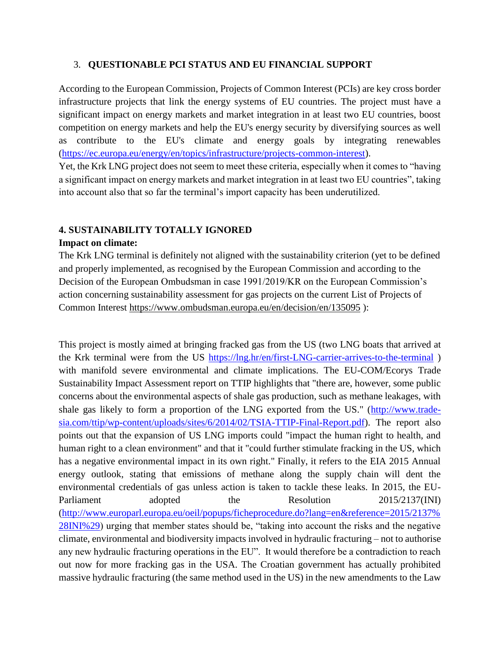#### 3. **QUESTIONABLE PCI STATUS AND EU FINANCIAL SUPPORT**

According to the European Commission, Projects of Common Interest (PCIs) are key cross border infrastructure projects that link the energy systems of EU countries. The project must have a significant impact on energy markets and market integration in at least two EU countries, boost competition on energy markets and help the EU's energy security by diversifying sources as well as contribute to the EU's climate and energy goals by integrating renewables [\(https://ec.europa.eu/energy/en/topics/infrastructure/projects-common-interest\)](https://ec.europa.eu/energy/en/topics/infrastructure/projects-common-interest).

Yet, the Krk LNG project does not seem to meet these criteria, especially when it comes to "having a significant impact on energy markets and market integration in at least two EU countries", taking into account also that so far the terminal's import capacity has been underutilized.

### **4. SUSTAINABILITY TOTALLY IGNORED**

#### **Impact on climate:**

The Krk LNG terminal is definitely not aligned with the sustainability criterion (yet to be defined and properly implemented, as recognised by the European Commission and according to the Decision of the European Ombudsman in case 1991/2019/KR on the European Commission's action concerning sustainability assessment for gas projects on the current List of Projects of Common Interest<https://www.ombudsman.europa.eu/en/decision/en/135095> ):

This project is mostly aimed at bringing fracked gas from the US (two LNG boats that arrived at the Krk terminal were from the US<https://lng.hr/en/first-LNG-carrier-arrives-to-the-terminal> ) with manifold severe environmental and climate implications. The EU-COM/Ecorys Trade Sustainability Impact Assessment report on TTIP highlights that "there are, however, some public concerns about the environmental aspects of shale gas production, such as methane leakages, with shale gas likely to form a proportion of the LNG exported from the US." [\(http://www.trade](http://www.trade-sia.com/ttip/wp-content/uploads/sites/6/2014/02/TSIA-TTIP-Final-Report.pdf)[sia.com/ttip/wp-content/uploads/sites/6/2014/02/TSIA-TTIP-Final-Report.pdf\)](http://www.trade-sia.com/ttip/wp-content/uploads/sites/6/2014/02/TSIA-TTIP-Final-Report.pdf). The report also points out that the expansion of US LNG imports could "impact the human right to health, and human right to a clean environment" and that it "could further stimulate fracking in the US, which has a negative environmental impact in its own right." Finally, it refers to the EIA 2015 Annual energy outlook, stating that emissions of methane along the supply chain will dent the environmental credentials of gas unless action is taken to tackle these leaks. In 2015, the EU-Parliament adopted the Resolution 2015/2137(INI) [\(http://www.europarl.europa.eu/oeil/popups/ficheprocedure.do?lang=en&reference=2015/2137%](http://www.europarl.europa.eu/oeil/popups/ficheprocedure.do?lang=en&reference=2015/2137%28INI%29) [28INI%29\)](http://www.europarl.europa.eu/oeil/popups/ficheprocedure.do?lang=en&reference=2015/2137%28INI%29) urging that member states should be, "taking into account the risks and the negative climate, environmental and biodiversity impacts involved in hydraulic fracturing – not to authorise any new hydraulic fracturing operations in the EU". It would therefore be a contradiction to reach out now for more fracking gas in the USA. The Croatian government has actually prohibited massive hydraulic fracturing (the same method used in the US) in the new amendments to the Law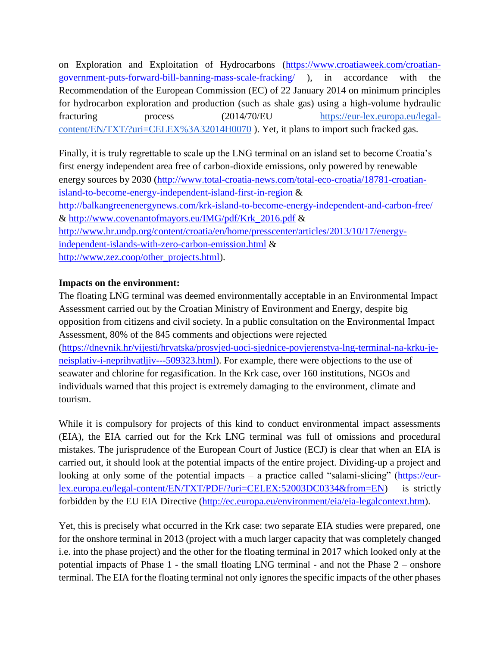on Exploration and Exploitation of Hydrocarbons [\(https://www.croatiaweek.com/croatian](https://www.croatiaweek.com/croatian-government-puts-forward-bill-banning-mass-scale-fracking/)[government-puts-forward-bill-banning-mass-scale-fracking/](https://www.croatiaweek.com/croatian-government-puts-forward-bill-banning-mass-scale-fracking/) ), in accordance with the Recommendation of the European Commission (EC) of 22 January 2014 on minimum principles for hydrocarbon exploration and production (such as shale gas) using a high-volume hydraulic fracturing process  $(2014/70)$ EU [https://eur-lex.europa.eu/legal](https://eur-lex.europa.eu/legal-content/EN/TXT/?uri=CELEX%3A32014H0070)[content/EN/TXT/?uri=CELEX%3A32014H0070](https://eur-lex.europa.eu/legal-content/EN/TXT/?uri=CELEX%3A32014H0070) ). Yet, it plans to import such fracked gas.

Finally, it is truly regrettable to scale up the LNG terminal on an island set to become Croatia's first energy independent area free of carbon-dioxide emissions, only powered by renewable energy sources by 2030 [\(http://www.total-croatia-news.com/total-eco-croatia/18781-croatian](http://www.total-croatia-news.com/total-eco-croatia/18781-croatian-island-to-become-energy-independent-island-first-in-region)[island-to-become-energy-independent-island-first-in-region](http://www.total-croatia-news.com/total-eco-croatia/18781-croatian-island-to-become-energy-independent-island-first-in-region) & <http://balkangreenenergynews.com/krk-island-to-become-energy-independent-and-carbon-free/> & [http://www.covenantofmayors.eu/IMG/pdf/Krk\\_2016.pdf](http://www.covenantofmayors.eu/IMG/pdf/Krk_2016.pdf) & [http://www.hr.undp.org/content/croatia/en/home/presscenter/articles/2013/10/17/energy](http://www.hr.undp.org/content/croatia/en/home/presscenter/articles/2013/10/17/energy-independent-islands-with-zero-carbon-emission.html)[independent-islands-with-zero-carbon-emission.html](http://www.hr.undp.org/content/croatia/en/home/presscenter/articles/2013/10/17/energy-independent-islands-with-zero-carbon-emission.html) & [http://www.zez.coop/other\\_projects.html\)](http://www.zez.coop/other_projects.html).

### **Impacts on the environment:**

The floating LNG terminal was deemed environmentally acceptable in an Environmental Impact Assessment carried out by the Croatian Ministry of Environment and Energy, despite big opposition from citizens and civil society. In a public consultation on the Environmental Impact Assessment, 80% of the 845 comments and objections were rejected [\(https://dnevnik.hr/vijesti/hrvatska/prosvjed-uoci-sjednice-povjerenstva-lng-terminal-na-krku-je-](https://dnevnik.hr/vijesti/hrvatska/prosvjed-uoci-sjednice-povjerenstva-lng-terminal-na-krku-je-neisplativ-i-neprihvatljiv---509323.html)

[neisplativ-i-neprihvatljiv---509323.html\)](https://dnevnik.hr/vijesti/hrvatska/prosvjed-uoci-sjednice-povjerenstva-lng-terminal-na-krku-je-neisplativ-i-neprihvatljiv---509323.html). For example, there were objections to the use of seawater and chlorine for regasification. In the Krk case, over 160 institutions, NGOs and individuals warned that this project is extremely damaging to the environment, climate and tourism.

While it is compulsory for projects of this kind to conduct environmental impact assessments (EIA), the EIA carried out for the Krk LNG terminal was full of omissions and procedural mistakes. The jurisprudence of the European Court of Justice (ECJ) is clear that when an EIA is carried out, it should look at the potential impacts of the entire project. Dividing-up a project and looking at only some of the potential impacts – a practice called "salami-slicing" [\(https://eur](https://eur-lex.europa.eu/legal-content/EN/TXT/PDF/?uri=CELEX:52003DC0334&from=EN)[lex.europa.eu/legal-content/EN/TXT/PDF/?uri=CELEX:52003DC0334&from=EN\)](https://eur-lex.europa.eu/legal-content/EN/TXT/PDF/?uri=CELEX:52003DC0334&from=EN) – is strictly forbidden by the EU EIA Directive [\(http://ec.europa.eu/environment/eia/eia-legalcontext.htm\)](http://ec.europa.eu/environment/eia/eia-legalcontext.htm).

Yet, this is precisely what occurred in the Krk case: two separate EIA studies were prepared, one for the onshore terminal in 2013 (project with a much larger capacity that was completely changed i.e. into the phase project) and the other for the floating terminal in 2017 which looked only at the potential impacts of Phase 1 - the small floating LNG terminal - and not the Phase 2 – onshore terminal. The EIA for the floating terminal not only ignores the specific impacts of the other phases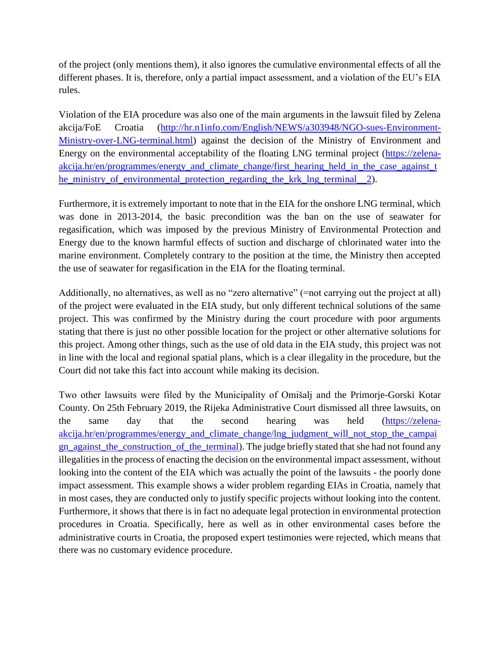of the project (only mentions them), it also ignores the cumulative environmental effects of all the different phases. It is, therefore, only a partial impact assessment, and a violation of the EU's EIA rules.

Violation of the EIA procedure was also one of the main arguments in the lawsuit filed by Zelena akcija/FoE Croatia [\(http://hr.n1info.com/English/NEWS/a303948/NGO-sues-Environment-](http://hr.n1info.com/English/NEWS/a303948/NGO-sues-Environment-Ministry-over-LNG-terminal.html)[Ministry-over-LNG-terminal.html\)](http://hr.n1info.com/English/NEWS/a303948/NGO-sues-Environment-Ministry-over-LNG-terminal.html) against the decision of the Ministry of Environment and Energy on the environmental acceptability of the floating LNG terminal project [\(https://zelena](https://zelena-akcija.hr/en/programmes/energy_and_climate_change/first_hearing_held_in_the_case_against_the_ministry_of_environmental_protection_regarding_the_krk_lng_terminal__2)akcija.hr/en/programmes/energy and climate change/first hearing held in the case against t [he\\_ministry\\_of\\_environmental\\_protection\\_regarding\\_the\\_krk\\_lng\\_terminal\\_\\_2\)](https://zelena-akcija.hr/en/programmes/energy_and_climate_change/first_hearing_held_in_the_case_against_the_ministry_of_environmental_protection_regarding_the_krk_lng_terminal__2).

Furthermore, it is extremely important to note that in the EIA for the onshore LNG terminal, which was done in 2013-2014, the basic precondition was the ban on the use of seawater for regasification, which was imposed by the previous Ministry of Environmental Protection and Energy due to the known harmful effects of suction and discharge of chlorinated water into the marine environment. Completely contrary to the position at the time, the Ministry then accepted the use of seawater for regasification in the EIA for the floating terminal.

Additionally, no alternatives, as well as no "zero alternative" (=not carrying out the project at all) of the project were evaluated in the EIA study, but only different technical solutions of the same project. This was confirmed by the Ministry during the court procedure with poor arguments stating that there is just no other possible location for the project or other alternative solutions for this project. Among other things, such as the use of old data in the EIA study, this project was not in line with the local and regional spatial plans, which is a clear illegality in the procedure, but the Court did not take this fact into account while making its decision.

Two other lawsuits were filed by the Municipality of Omišalj and the Primorje-Gorski Kotar County. On 25th February 2019, the Rijeka Administrative Court dismissed all three lawsuits, on the same day that the second hearing was held [\(https://zelena](https://zelena-akcija.hr/en/programmes/energy_and_climate_change/lng_judgment_will_not_stop_the_campaign_against_the_construction_of_the_terminal)[akcija.hr/en/programmes/energy\\_and\\_climate\\_change/lng\\_judgment\\_will\\_not\\_stop\\_the\\_campai](https://zelena-akcija.hr/en/programmes/energy_and_climate_change/lng_judgment_will_not_stop_the_campaign_against_the_construction_of_the_terminal) [gn\\_against\\_the\\_construction\\_of\\_the\\_terminal\)](https://zelena-akcija.hr/en/programmes/energy_and_climate_change/lng_judgment_will_not_stop_the_campaign_against_the_construction_of_the_terminal). The judge briefly stated that she had not found any illegalities in the process of enacting the decision on the environmental impact assessment, without looking into the content of the EIA which was actually the point of the lawsuits - the poorly done impact assessment. This example shows a wider problem regarding EIAs in Croatia, namely that in most cases, they are conducted only to justify specific projects without looking into the content. Furthermore, it shows that there is in fact no adequate legal protection in environmental protection procedures in Croatia. Specifically, here as well as in other environmental cases before the administrative courts in Croatia, the proposed expert testimonies were rejected, which means that there was no customary evidence procedure.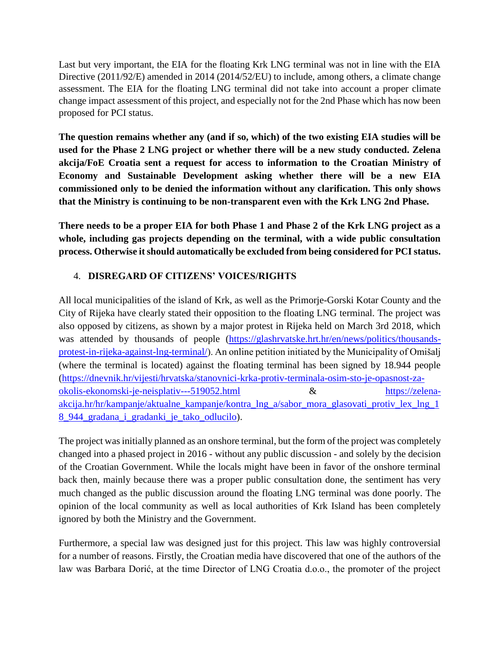Last but very important, the EIA for the floating Krk LNG terminal was not in line with the EIA Directive (2011/92/E) amended in 2014 (2014/52/EU) to include, among others, a climate change assessment. The EIA for the floating LNG terminal did not take into account a proper climate change impact assessment of this project, and especially not for the 2nd Phase which has now been proposed for PCI status.

**The question remains whether any (and if so, which) of the two existing EIA studies will be used for the Phase 2 LNG project or whether there will be a new study conducted. Zelena akcija/FoE Croatia sent a request for access to information to the Croatian Ministry of Economy and Sustainable Development asking whether there will be a new EIA commissioned only to be denied the information without any clarification. This only shows that the Ministry is continuing to be non-transparent even with the Krk LNG 2nd Phase.**

**There needs to be a proper EIA for both Phase 1 and Phase 2 of the Krk LNG project as a whole, including gas projects depending on the terminal, with a wide public consultation process. Otherwise it should automatically be excluded from being considered for PCI status.**

## 4. **DISREGARD OF CITIZENS' VOICES/RIGHTS**

All local municipalities of the island of Krk, as well as the Primorje-Gorski Kotar County and the City of Rijeka have clearly stated their opposition to the floating LNG terminal. The project was also opposed by citizens, as shown by a major protest in Rijeka held on March 3rd 2018, which was attended by thousands of people [\(https://glashrvatske.hrt.hr/en/news/politics/thousands](https://glashrvatske.hrt.hr/en/news/politics/thousands-protest-in-rijeka-against-lng-terminal/)[protest-in-rijeka-against-lng-terminal/\)](https://glashrvatske.hrt.hr/en/news/politics/thousands-protest-in-rijeka-against-lng-terminal/). An online petition initiated by the Municipality of Omišalj (where the terminal is located) against the floating terminal has been signed by 18.944 people [\(https://dnevnik.hr/vijesti/hrvatska/stanovnici-krka-protiv-terminala-osim-sto-je-opasnost-za](https://dnevnik.hr/vijesti/hrvatska/stanovnici-krka-protiv-terminala-osim-sto-je-opasnost-za-okolis-ekonomski-je-neisplativ---519052.html)[okolis-ekonomski-je-neisplativ---519052.html](https://dnevnik.hr/vijesti/hrvatska/stanovnici-krka-protiv-terminala-osim-sto-je-opasnost-za-okolis-ekonomski-je-neisplativ---519052.html) & [https://zelena](https://zelena-akcija.hr/hr/kampanje/aktualne_kampanje/kontra_lng_a/sabor_mora_glasovati_protiv_lex_lng_18_944_gradana_i_gradanki_je_tako_odlucilo)[akcija.hr/hr/kampanje/aktualne\\_kampanje/kontra\\_lng\\_a/sabor\\_mora\\_glasovati\\_protiv\\_lex\\_lng\\_1](https://zelena-akcija.hr/hr/kampanje/aktualne_kampanje/kontra_lng_a/sabor_mora_glasovati_protiv_lex_lng_18_944_gradana_i_gradanki_je_tako_odlucilo) [8\\_944\\_gradana\\_i\\_gradanki\\_je\\_tako\\_odlucilo\)](https://zelena-akcija.hr/hr/kampanje/aktualne_kampanje/kontra_lng_a/sabor_mora_glasovati_protiv_lex_lng_18_944_gradana_i_gradanki_je_tako_odlucilo).

The project was initially planned as an onshore terminal, but the form of the project was completely changed into a phased project in 2016 - without any public discussion - and solely by the decision of the Croatian Government. While the locals might have been in favor of the onshore terminal back then, mainly because there was a proper public consultation done, the sentiment has very much changed as the public discussion around the floating LNG terminal was done poorly. The opinion of the local community as well as local authorities of Krk Island has been completely ignored by both the Ministry and the Government.

Furthermore, a special law was designed just for this project. This law was highly controversial for a number of reasons. Firstly, the Croatian media have discovered that one of the authors of the law was Barbara Dorić, at the time Director of LNG Croatia d.o.o., the promoter of the project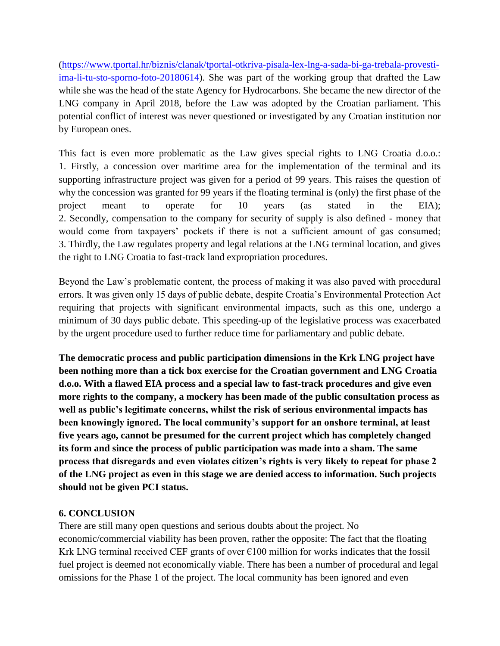[\(https://www.tportal.hr/biznis/clanak/tportal-otkriva-pisala-lex-lng-a-sada-bi-ga-trebala-provesti](https://www.tportal.hr/biznis/clanak/tportal-otkriva-pisala-lex-lng-a-sada-bi-ga-trebala-provesti-ima-li-tu-sto-sporno-foto-20180614)[ima-li-tu-sto-sporno-foto-20180614\)](https://www.tportal.hr/biznis/clanak/tportal-otkriva-pisala-lex-lng-a-sada-bi-ga-trebala-provesti-ima-li-tu-sto-sporno-foto-20180614). She was part of the working group that drafted the Law while she was the head of the state Agency for Hydrocarbons. She became the new director of the LNG company in April 2018, before the Law was adopted by the Croatian parliament. This potential conflict of interest was never questioned or investigated by any Croatian institution nor by European ones.

This fact is even more problematic as the Law gives special rights to LNG Croatia d.o.o.: 1. Firstly, a concession over maritime area for the implementation of the terminal and its supporting infrastructure project was given for a period of 99 years. This raises the question of why the concession was granted for 99 years if the floating terminal is (only) the first phase of the project meant to operate for 10 years (as stated in the EIA); 2. Secondly, compensation to the company for security of supply is also defined - money that would come from taxpayers' pockets if there is not a sufficient amount of gas consumed; 3. Thirdly, the Law regulates property and legal relations at the LNG terminal location, and gives the right to LNG Croatia to fast-track land expropriation procedures.

Beyond the Law's problematic content, the process of making it was also paved with procedural errors. It was given only 15 days of public debate, despite Croatia's Environmental Protection Act requiring that projects with significant environmental impacts, such as this one, undergo a minimum of 30 days public debate. This speeding-up of the legislative process was exacerbated by the urgent procedure used to further reduce time for parliamentary and public debate.

**The democratic process and public participation dimensions in the Krk LNG project have been nothing more than a tick box exercise for the Croatian government and LNG Croatia d.o.o. With a flawed EIA process and a special law to fast-track procedures and give even more rights to the company, a mockery has been made of the public consultation process as well as public's legitimate concerns, whilst the risk of serious environmental impacts has been knowingly ignored. The local community's support for an onshore terminal, at least five years ago, cannot be presumed for the current project which has completely changed its form and since the process of public participation was made into a sham. The same process that disregards and even violates citizen's rights is very likely to repeat for phase 2 of the LNG project as even in this stage we are denied access to information. Such projects should not be given PCI status.**

## **6. CONCLUSION**

There are still many open questions and serious doubts about the project. No economic/commercial viability has been proven, rather the opposite: The fact that the floating Krk LNG terminal received CEF grants of over  $\epsilon$ 100 million for works indicates that the fossil fuel project is deemed not economically viable. There has been a number of procedural and legal omissions for the Phase 1 of the project. The local community has been ignored and even